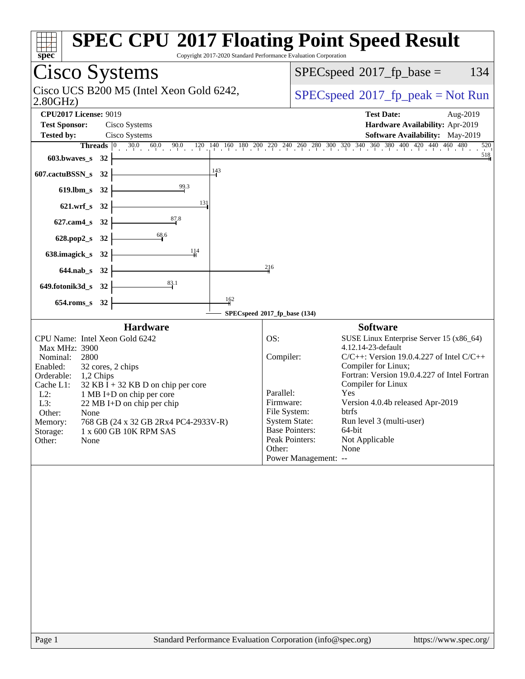| <b>Cisco Systems</b><br>134<br>$SPEC speed^{\circ}2017\_fp\_base =$<br>Cisco UCS B200 M5 (Intel Xeon Gold 6242,<br>$SPEC speed^{\circ}2017\_fp\_peak = Not Run$<br>2.80GHz<br><b>CPU2017 License: 9019</b><br><b>Test Date:</b><br>Aug-2019<br><b>Test Sponsor:</b><br>Cisco Systems<br>Hardware Availability: Apr-2019<br>Software Availability: May-2019<br><b>Tested by:</b><br>Cisco Systems<br>Threads 0 30.0 60.0 90.0 120 140 160 180 200 220 240 260 280 300 320 340 360 380 400 420 440 460 480<br>520<br>518<br>603.bwaves_s $32$ $\vdash$<br>$\frac{143}{ }$<br>$607$ .cactuBSSN_s 32<br>619.lbm_s 32 $\frac{99.3}{1}$<br>621.wrf_s $32$ $\overline{\qquad}$<br>131<br>627.cam4_s 32 $\frac{87.8}{1}$<br>628.pop2_s 32 $\begin{array}{ c c } \hline & & & 68.6 \\ \hline \end{array}$<br>$\frac{114}{1}$<br>638.imagick_s $32$ $\overline{\phantom{a}}$<br>216<br>$644.nab_s$ 32<br>649.fotonik3d_s 32 $\frac{83}{1}$<br>162<br>$654$ roms_s 32<br>SPECspeed®2017_fp_base (134)<br><b>Hardware</b><br><b>Software</b><br>CPU Name: Intel Xeon Gold 6242<br>OS:<br>SUSE Linux Enterprise Server 15 (x86_64)<br>4.12.14-23-default<br>Max MHz: 3900<br>Compiler:<br>$C/C++$ : Version 19.0.4.227 of Intel $C/C++$<br>Nominal:<br>2800<br>Compiler for Linux;<br>Enabled:<br>32 cores, 2 chips<br>Fortran: Version 19.0.4.227 of Intel Fortran<br>Orderable: 1,2 Chips<br>Compiler for Linux<br>Cache L1:<br>$32$ KB I + 32 KB D on chip per core<br>Parallel:<br>Yes<br>$L2$ :<br>1 MB I+D on chip per core<br>Version 4.0.4b released Apr-2019<br>Firmware:<br>L3:<br>22 MB I+D on chip per chip<br>File System:<br>btrfs<br>Other:<br>None<br><b>System State:</b><br>Run level 3 (multi-user)<br>768 GB (24 x 32 GB 2Rx4 PC4-2933V-R)<br>Memory:<br><b>Base Pointers:</b><br>64-bit<br>Storage:<br>1 x 600 GB 10K RPM SAS<br>Peak Pointers:<br>Not Applicable<br>Other:<br>None<br>None<br>Other:<br>Power Management: -- |
|---------------------------------------------------------------------------------------------------------------------------------------------------------------------------------------------------------------------------------------------------------------------------------------------------------------------------------------------------------------------------------------------------------------------------------------------------------------------------------------------------------------------------------------------------------------------------------------------------------------------------------------------------------------------------------------------------------------------------------------------------------------------------------------------------------------------------------------------------------------------------------------------------------------------------------------------------------------------------------------------------------------------------------------------------------------------------------------------------------------------------------------------------------------------------------------------------------------------------------------------------------------------------------------------------------------------------------------------------------------------------------------------------------------------------------------------------------------------------------------------------------------------------------------------------------------------------------------------------------------------------------------------------------------------------------------------------------------------------------------------------------------------------------------------------------------------------------------------------------------------------------------------------------------------------------------|
|                                                                                                                                                                                                                                                                                                                                                                                                                                                                                                                                                                                                                                                                                                                                                                                                                                                                                                                                                                                                                                                                                                                                                                                                                                                                                                                                                                                                                                                                                                                                                                                                                                                                                                                                                                                                                                                                                                                                       |
|                                                                                                                                                                                                                                                                                                                                                                                                                                                                                                                                                                                                                                                                                                                                                                                                                                                                                                                                                                                                                                                                                                                                                                                                                                                                                                                                                                                                                                                                                                                                                                                                                                                                                                                                                                                                                                                                                                                                       |
|                                                                                                                                                                                                                                                                                                                                                                                                                                                                                                                                                                                                                                                                                                                                                                                                                                                                                                                                                                                                                                                                                                                                                                                                                                                                                                                                                                                                                                                                                                                                                                                                                                                                                                                                                                                                                                                                                                                                       |
|                                                                                                                                                                                                                                                                                                                                                                                                                                                                                                                                                                                                                                                                                                                                                                                                                                                                                                                                                                                                                                                                                                                                                                                                                                                                                                                                                                                                                                                                                                                                                                                                                                                                                                                                                                                                                                                                                                                                       |
|                                                                                                                                                                                                                                                                                                                                                                                                                                                                                                                                                                                                                                                                                                                                                                                                                                                                                                                                                                                                                                                                                                                                                                                                                                                                                                                                                                                                                                                                                                                                                                                                                                                                                                                                                                                                                                                                                                                                       |
|                                                                                                                                                                                                                                                                                                                                                                                                                                                                                                                                                                                                                                                                                                                                                                                                                                                                                                                                                                                                                                                                                                                                                                                                                                                                                                                                                                                                                                                                                                                                                                                                                                                                                                                                                                                                                                                                                                                                       |
|                                                                                                                                                                                                                                                                                                                                                                                                                                                                                                                                                                                                                                                                                                                                                                                                                                                                                                                                                                                                                                                                                                                                                                                                                                                                                                                                                                                                                                                                                                                                                                                                                                                                                                                                                                                                                                                                                                                                       |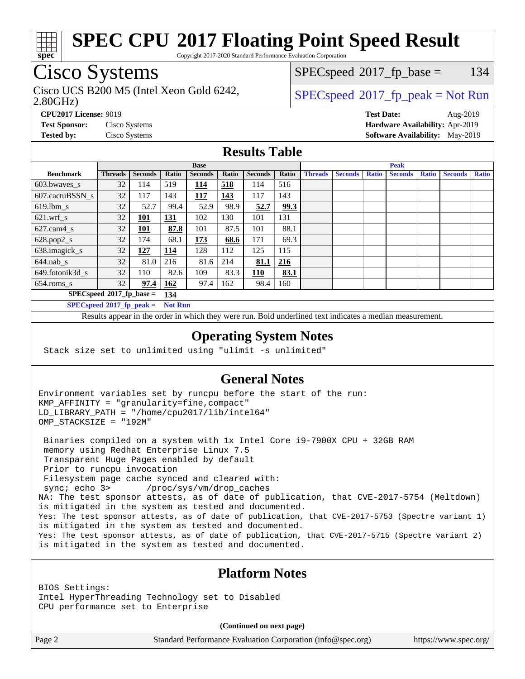

Copyright 2017-2020 Standard Performance Evaluation Corporation

# Cisco Systems

Cisco UCS B200 M5 (Intel Xeon Gold 6242,  $\begin{array}{c|c}\n\text{SPEC speed} \text{?}2017\_fp\_peak = Not Run\n\end{array}$ 

 $SPECspeed^{\circledcirc}2017_fp\_base = 134$  $SPECspeed^{\circledcirc}2017_fp\_base = 134$ 

#### 2.80GHz)

**[CPU2017 License:](http://www.spec.org/auto/cpu2017/Docs/result-fields.html#CPU2017License)** 9019 **[Test Date:](http://www.spec.org/auto/cpu2017/Docs/result-fields.html#TestDate)** Aug-2019 **[Test Sponsor:](http://www.spec.org/auto/cpu2017/Docs/result-fields.html#TestSponsor)** Cisco Systems **[Hardware Availability:](http://www.spec.org/auto/cpu2017/Docs/result-fields.html#HardwareAvailability)** Apr-2019 **[Tested by:](http://www.spec.org/auto/cpu2017/Docs/result-fields.html#Testedby)** Cisco Systems **[Software Availability:](http://www.spec.org/auto/cpu2017/Docs/result-fields.html#SoftwareAvailability)** May-2019

### **[Results Table](http://www.spec.org/auto/cpu2017/Docs/result-fields.html#ResultsTable)**

| <b>Base</b>                       |                |                |                |                |       | <b>Peak</b>    |            |                |                |              |                |              |                |              |
|-----------------------------------|----------------|----------------|----------------|----------------|-------|----------------|------------|----------------|----------------|--------------|----------------|--------------|----------------|--------------|
| <b>Benchmark</b>                  | <b>Threads</b> | <b>Seconds</b> | Ratio          | <b>Seconds</b> | Ratio | <b>Seconds</b> | Ratio      | <b>Threads</b> | <b>Seconds</b> | <b>Ratio</b> | <b>Seconds</b> | <b>Ratio</b> | <b>Seconds</b> | <b>Ratio</b> |
| 603.bwayes_s                      | 32             | 114            | 519            | 114            | 518   | 114            | 516        |                |                |              |                |              |                |              |
| 607.cactuBSSN s                   | 32             | 117            | 143            | 117            | 143   | 117            | 143        |                |                |              |                |              |                |              |
| $619.$ lbm s                      | 32             | 52.7           | 99.4           | 52.9           | 98.9  | 52.7           | 99.3       |                |                |              |                |              |                |              |
| $621.wrf$ s                       | 32             | 101            | <u>131</u>     | 102            | 130   | 101            | 131        |                |                |              |                |              |                |              |
| $627$ .cam4 s                     | 32             | 101            | 87.8           | 101            | 87.5  | 101            | 88.1       |                |                |              |                |              |                |              |
| $628.pop2_s$                      | 32             | 174            | 68.1           | 173            | 68.6  | 171            | 69.3       |                |                |              |                |              |                |              |
| 638.imagick_s                     | 32             | 127            | 114            | 128            | 112   | 125            | 115        |                |                |              |                |              |                |              |
| $644$ .nab s                      | 32             | 81.0           | 216            | 81.6           | 214   | 81.1           | <u>216</u> |                |                |              |                |              |                |              |
| 649.fotonik3d s                   | 32             | 110            | 82.6           | 109            | 83.3  | 110            | 83.1       |                |                |              |                |              |                |              |
| $654$ .roms s                     | 32             | 97.4           | 162            | 97.4           | 162   | 98.4           | 160        |                |                |              |                |              |                |              |
| $SPECspeed*2017_fp\_base =$       |                |                | 134            |                |       |                |            |                |                |              |                |              |                |              |
| $SPECspeed^{\circ}2017$ fp peak = |                |                | <b>Not Run</b> |                |       |                |            |                |                |              |                |              |                |              |

Results appear in the [order in which they were run.](http://www.spec.org/auto/cpu2017/Docs/result-fields.html#RunOrder) Bold underlined text [indicates a median measurement](http://www.spec.org/auto/cpu2017/Docs/result-fields.html#Median).

#### **[Operating System Notes](http://www.spec.org/auto/cpu2017/Docs/result-fields.html#OperatingSystemNotes)**

Stack size set to unlimited using "ulimit -s unlimited"

### **[General Notes](http://www.spec.org/auto/cpu2017/Docs/result-fields.html#GeneralNotes)**

Environment variables set by runcpu before the start of the run: KMP\_AFFINITY = "granularity=fine,compact" LD\_LIBRARY\_PATH = "/home/cpu2017/lib/intel64" OMP\_STACKSIZE = "192M"

 Binaries compiled on a system with 1x Intel Core i9-7900X CPU + 32GB RAM memory using Redhat Enterprise Linux 7.5 Transparent Huge Pages enabled by default Prior to runcpu invocation Filesystem page cache synced and cleared with: sync; echo 3> /proc/sys/vm/drop\_caches NA: The test sponsor attests, as of date of publication, that CVE-2017-5754 (Meltdown) is mitigated in the system as tested and documented. Yes: The test sponsor attests, as of date of publication, that CVE-2017-5753 (Spectre variant 1) is mitigated in the system as tested and documented. Yes: The test sponsor attests, as of date of publication, that CVE-2017-5715 (Spectre variant 2) is mitigated in the system as tested and documented.

### **[Platform Notes](http://www.spec.org/auto/cpu2017/Docs/result-fields.html#PlatformNotes)**

BIOS Settings: Intel HyperThreading Technology set to Disabled CPU performance set to Enterprise

**(Continued on next page)**

Page 2 Standard Performance Evaluation Corporation [\(info@spec.org\)](mailto:info@spec.org) <https://www.spec.org/>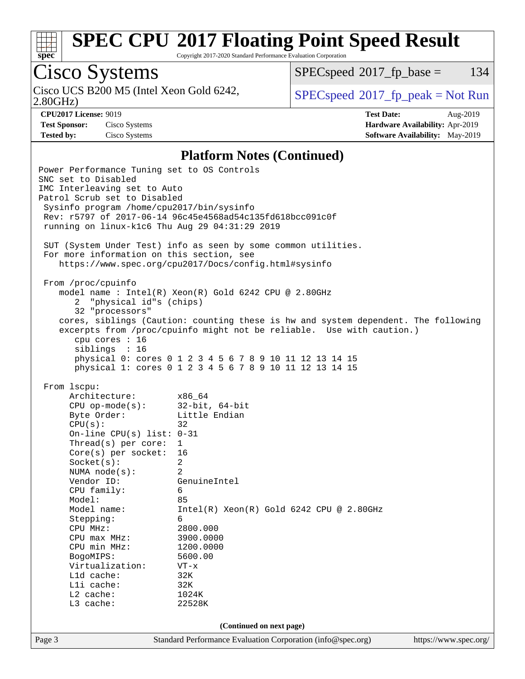

Copyright 2017-2020 Standard Performance Evaluation Corporation

# Cisco Systems

Cisco UCS B200 M5 (Intel Xeon Gold 6242,<br>2.80GHz)

 $SPECspeed^{\circledcirc}2017_fp\_base = 134$  $SPECspeed^{\circledcirc}2017_fp\_base = 134$ 

**[Test Sponsor:](http://www.spec.org/auto/cpu2017/Docs/result-fields.html#TestSponsor)** Cisco Systems **[Hardware Availability:](http://www.spec.org/auto/cpu2017/Docs/result-fields.html#HardwareAvailability)** Apr-2019

 $SPEC speed^{\circ}2017\_fp\_peak = Not Run$ 

**[CPU2017 License:](http://www.spec.org/auto/cpu2017/Docs/result-fields.html#CPU2017License)** 9019 **[Test Date:](http://www.spec.org/auto/cpu2017/Docs/result-fields.html#TestDate)** Aug-2019 **[Tested by:](http://www.spec.org/auto/cpu2017/Docs/result-fields.html#Testedby)** Cisco Systems **[Software Availability:](http://www.spec.org/auto/cpu2017/Docs/result-fields.html#SoftwareAvailability)** May-2019

#### **[Platform Notes \(Continued\)](http://www.spec.org/auto/cpu2017/Docs/result-fields.html#PlatformNotes)**

Page 3 Standard Performance Evaluation Corporation [\(info@spec.org\)](mailto:info@spec.org) <https://www.spec.org/> Power Performance Tuning set to OS Controls SNC set to Disabled IMC Interleaving set to Auto Patrol Scrub set to Disabled Sysinfo program /home/cpu2017/bin/sysinfo Rev: r5797 of 2017-06-14 96c45e4568ad54c135fd618bcc091c0f running on linux-k1c6 Thu Aug 29 04:31:29 2019 SUT (System Under Test) info as seen by some common utilities. For more information on this section, see <https://www.spec.org/cpu2017/Docs/config.html#sysinfo> From /proc/cpuinfo model name : Intel(R) Xeon(R) Gold 6242 CPU @ 2.80GHz 2 "physical id"s (chips) 32 "processors" cores, siblings (Caution: counting these is hw and system dependent. The following excerpts from /proc/cpuinfo might not be reliable. Use with caution.) cpu cores : 16 siblings : 16 physical 0: cores 0 1 2 3 4 5 6 7 8 9 10 11 12 13 14 15 physical 1: cores 0 1 2 3 4 5 6 7 8 9 10 11 12 13 14 15 From lscpu: Architecture: x86\_64 CPU op-mode(s): 32-bit, 64-bit Byte Order: Little Endian  $CPU(s):$  32 On-line CPU(s) list: 0-31 Thread(s) per core: 1 Core(s) per socket: 16 Socket(s): 2 NUMA node(s): 2 Vendor ID: GenuineIntel CPU family: 6 Model: 85 Model name: Intel(R) Xeon(R) Gold 6242 CPU @ 2.80GHz Stepping: 6 CPU MHz: 2800.000 CPU max MHz: 3900.0000 CPU min MHz: 1200.0000 BogoMIPS: 5600.00 Virtualization: VT-x L1d cache: 32K<br>
L1i cache: 32K  $L1i$  cache: L2 cache: 1024K L3 cache: 22528K **(Continued on next page)**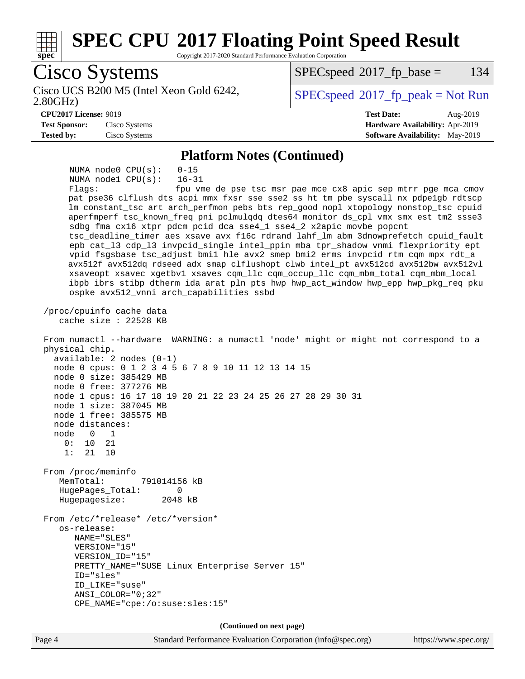

Page 4 Standard Performance Evaluation Corporation [\(info@spec.org\)](mailto:info@spec.org) <https://www.spec.org/>

**(Continued on next page)**

CPE\_NAME="cpe:/o:suse:sles:15"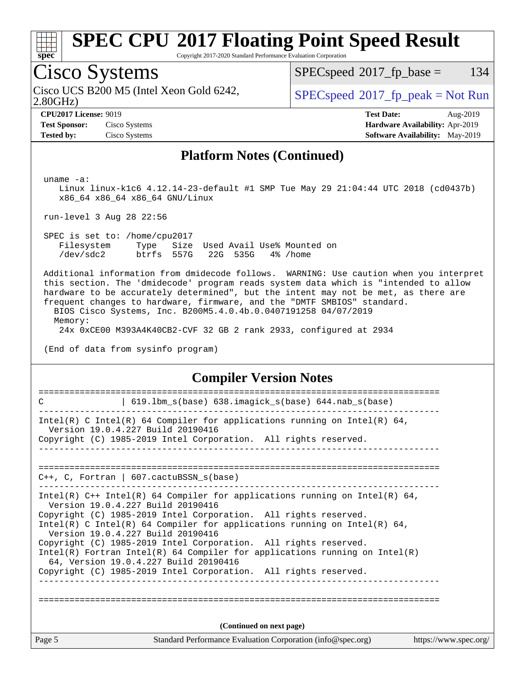

Copyright 2017-2020 Standard Performance Evaluation Corporation

## Cisco Systems

2.80GHz) Cisco UCS B200 M5 (Intel Xeon Gold 6242,  $\begin{array}{c|c}\n\text{SPEC speed} \text{?}2017\_fp\_peak = Not Run\n\end{array}$ 

 $SPECspeed^{\circledcirc}2017_fp\_base = 134$  $SPECspeed^{\circledcirc}2017_fp\_base = 134$ 

**[Tested by:](http://www.spec.org/auto/cpu2017/Docs/result-fields.html#Testedby)** Cisco Systems **[Software Availability:](http://www.spec.org/auto/cpu2017/Docs/result-fields.html#SoftwareAvailability)** May-2019

**[CPU2017 License:](http://www.spec.org/auto/cpu2017/Docs/result-fields.html#CPU2017License)** 9019 **[Test Date:](http://www.spec.org/auto/cpu2017/Docs/result-fields.html#TestDate)** Aug-2019 **[Test Sponsor:](http://www.spec.org/auto/cpu2017/Docs/result-fields.html#TestSponsor)** Cisco Systems **[Hardware Availability:](http://www.spec.org/auto/cpu2017/Docs/result-fields.html#HardwareAvailability)** Apr-2019

#### **[Platform Notes \(Continued\)](http://www.spec.org/auto/cpu2017/Docs/result-fields.html#PlatformNotes)**

uname -a:

 Linux linux-k1c6 4.12.14-23-default #1 SMP Tue May 29 21:04:44 UTC 2018 (cd0437b) x86\_64 x86\_64 x86\_64 GNU/Linux

run-level 3 Aug 28 22:56

 SPEC is set to: /home/cpu2017 Filesystem Type Size Used Avail Use% Mounted on /dev/sdc2 btrfs 557G 22G 535G 4% /home

 Additional information from dmidecode follows. WARNING: Use caution when you interpret this section. The 'dmidecode' program reads system data which is "intended to allow hardware to be accurately determined", but the intent may not be met, as there are frequent changes to hardware, firmware, and the "DMTF SMBIOS" standard.

 BIOS Cisco Systems, Inc. B200M5.4.0.4b.0.0407191258 04/07/2019 Memory:

24x 0xCE00 M393A4K40CB2-CVF 32 GB 2 rank 2933, configured at 2934

(End of data from sysinfo program)

#### **[Compiler Version Notes](http://www.spec.org/auto/cpu2017/Docs/result-fields.html#CompilerVersionNotes)**

| Page 5 | Standard Performance Evaluation Corporation (info@spec.org)                                                                                                                          | https://www.spec.org/ |
|--------|--------------------------------------------------------------------------------------------------------------------------------------------------------------------------------------|-----------------------|
|        | (Continued on next page)                                                                                                                                                             |                       |
|        | 64, Version 19.0.4.227 Build 20190416<br>Copyright (C) 1985-2019 Intel Corporation. All rights reserved.                                                                             |                       |
|        | Version 19.0.4.227 Build 20190416<br>Copyright (C) 1985-2019 Intel Corporation. All rights reserved.<br>Intel(R) Fortran Intel(R) 64 Compiler for applications running on $Intel(R)$ |                       |
|        | Version 19.0.4.227 Build 20190416<br>Copyright (C) 1985-2019 Intel Corporation. All rights reserved.<br>Intel(R) C Intel(R) 64 Compiler for applications running on Intel(R) 64,     |                       |
|        | Intel(R) $C++$ Intel(R) 64 Compiler for applications running on Intel(R) 64,                                                                                                         |                       |
|        | $C_{++}$ , C, Fortran   607. cactuBSSN s(base)                                                                                                                                       |                       |
|        |                                                                                                                                                                                      |                       |
|        | Intel(R) C Intel(R) 64 Compiler for applications running on Intel(R) 64,<br>Version 19.0.4.227 Build 20190416<br>Copyright (C) 1985-2019 Intel Corporation. All rights reserved.     |                       |
| C      | 619.1bm_s(base) 638.imagick_s(base) 644.nab_s(base)                                                                                                                                  |                       |
|        |                                                                                                                                                                                      |                       |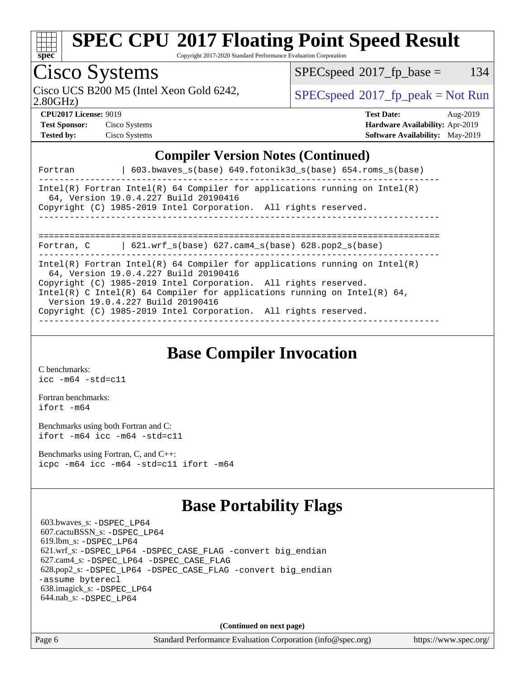

Copyright 2017-2020 Standard Performance Evaluation Corporation

## Cisco Systems

2.80GHz) Cisco UCS B200 M5 (Intel Xeon Gold 6242,  $\begin{array}{c|c}\n\text{SPEC speed} \text{?}2017\_fp\_peak = Not Run\n\end{array}$ 

 $SPECspeed^{\circledcirc}2017_fp\_base = 134$  $SPECspeed^{\circledcirc}2017_fp\_base = 134$ 

**[Test Sponsor:](http://www.spec.org/auto/cpu2017/Docs/result-fields.html#TestSponsor)** Cisco Systems **[Hardware Availability:](http://www.spec.org/auto/cpu2017/Docs/result-fields.html#HardwareAvailability)** Apr-2019 **[Tested by:](http://www.spec.org/auto/cpu2017/Docs/result-fields.html#Testedby)** Cisco Systems **[Software Availability:](http://www.spec.org/auto/cpu2017/Docs/result-fields.html#SoftwareAvailability)** May-2019

**[CPU2017 License:](http://www.spec.org/auto/cpu2017/Docs/result-fields.html#CPU2017License)** 9019 **[Test Date:](http://www.spec.org/auto/cpu2017/Docs/result-fields.html#TestDate)** Aug-2019

#### **[Compiler Version Notes \(Continued\)](http://www.spec.org/auto/cpu2017/Docs/result-fields.html#CompilerVersionNotes)**

| $603.bwaves_s(base) 649.fotonik3d_s(base) 654.roms_s(base)$<br>Fortran                                                                                                                                                                                                                                                                                                     |
|----------------------------------------------------------------------------------------------------------------------------------------------------------------------------------------------------------------------------------------------------------------------------------------------------------------------------------------------------------------------------|
| Intel(R) Fortran Intel(R) 64 Compiler for applications running on $Intel(R)$<br>64, Version 19.0.4.227 Build 20190416<br>Copyright (C) 1985-2019 Intel Corporation. All rights reserved.                                                                                                                                                                                   |
| 621.wrf $s(base)$ 627.cam4 $s(base)$ 628.pop2 $s(base)$<br>Fortran, C                                                                                                                                                                                                                                                                                                      |
| Intel(R) Fortran Intel(R) 64 Compiler for applications running on Intel(R)<br>64, Version 19.0.4.227 Build 20190416<br>Copyright (C) 1985-2019 Intel Corporation. All rights reserved.<br>Intel(R) C Intel(R) 64 Compiler for applications running on Intel(R) 64,<br>Version 19.0.4.227 Build 20190416<br>Copyright (C) 1985-2019 Intel Corporation. All rights reserved. |

### **[Base Compiler Invocation](http://www.spec.org/auto/cpu2017/Docs/result-fields.html#BaseCompilerInvocation)**

[C benchmarks](http://www.spec.org/auto/cpu2017/Docs/result-fields.html#Cbenchmarks): [icc -m64 -std=c11](http://www.spec.org/cpu2017/results/res2019q3/cpu2017-20190903-17724.flags.html#user_CCbase_intel_icc_64bit_c11_33ee0cdaae7deeeab2a9725423ba97205ce30f63b9926c2519791662299b76a0318f32ddfffdc46587804de3178b4f9328c46fa7c2b0cd779d7a61945c91cd35)

[Fortran benchmarks](http://www.spec.org/auto/cpu2017/Docs/result-fields.html#Fortranbenchmarks): [ifort -m64](http://www.spec.org/cpu2017/results/res2019q3/cpu2017-20190903-17724.flags.html#user_FCbase_intel_ifort_64bit_24f2bb282fbaeffd6157abe4f878425411749daecae9a33200eee2bee2fe76f3b89351d69a8130dd5949958ce389cf37ff59a95e7a40d588e8d3a57e0c3fd751)

[Benchmarks using both Fortran and C](http://www.spec.org/auto/cpu2017/Docs/result-fields.html#BenchmarksusingbothFortranandC): [ifort -m64](http://www.spec.org/cpu2017/results/res2019q3/cpu2017-20190903-17724.flags.html#user_CC_FCbase_intel_ifort_64bit_24f2bb282fbaeffd6157abe4f878425411749daecae9a33200eee2bee2fe76f3b89351d69a8130dd5949958ce389cf37ff59a95e7a40d588e8d3a57e0c3fd751) [icc -m64 -std=c11](http://www.spec.org/cpu2017/results/res2019q3/cpu2017-20190903-17724.flags.html#user_CC_FCbase_intel_icc_64bit_c11_33ee0cdaae7deeeab2a9725423ba97205ce30f63b9926c2519791662299b76a0318f32ddfffdc46587804de3178b4f9328c46fa7c2b0cd779d7a61945c91cd35)

[Benchmarks using Fortran, C, and C++:](http://www.spec.org/auto/cpu2017/Docs/result-fields.html#BenchmarksusingFortranCandCXX) [icpc -m64](http://www.spec.org/cpu2017/results/res2019q3/cpu2017-20190903-17724.flags.html#user_CC_CXX_FCbase_intel_icpc_64bit_4ecb2543ae3f1412ef961e0650ca070fec7b7afdcd6ed48761b84423119d1bf6bdf5cad15b44d48e7256388bc77273b966e5eb805aefd121eb22e9299b2ec9d9) [icc -m64 -std=c11](http://www.spec.org/cpu2017/results/res2019q3/cpu2017-20190903-17724.flags.html#user_CC_CXX_FCbase_intel_icc_64bit_c11_33ee0cdaae7deeeab2a9725423ba97205ce30f63b9926c2519791662299b76a0318f32ddfffdc46587804de3178b4f9328c46fa7c2b0cd779d7a61945c91cd35) [ifort -m64](http://www.spec.org/cpu2017/results/res2019q3/cpu2017-20190903-17724.flags.html#user_CC_CXX_FCbase_intel_ifort_64bit_24f2bb282fbaeffd6157abe4f878425411749daecae9a33200eee2bee2fe76f3b89351d69a8130dd5949958ce389cf37ff59a95e7a40d588e8d3a57e0c3fd751)

### **[Base Portability Flags](http://www.spec.org/auto/cpu2017/Docs/result-fields.html#BasePortabilityFlags)**

 603.bwaves\_s: [-DSPEC\\_LP64](http://www.spec.org/cpu2017/results/res2019q3/cpu2017-20190903-17724.flags.html#suite_basePORTABILITY603_bwaves_s_DSPEC_LP64) 607.cactuBSSN\_s: [-DSPEC\\_LP64](http://www.spec.org/cpu2017/results/res2019q3/cpu2017-20190903-17724.flags.html#suite_basePORTABILITY607_cactuBSSN_s_DSPEC_LP64) 619.lbm\_s: [-DSPEC\\_LP64](http://www.spec.org/cpu2017/results/res2019q3/cpu2017-20190903-17724.flags.html#suite_basePORTABILITY619_lbm_s_DSPEC_LP64) 621.wrf\_s: [-DSPEC\\_LP64](http://www.spec.org/cpu2017/results/res2019q3/cpu2017-20190903-17724.flags.html#suite_basePORTABILITY621_wrf_s_DSPEC_LP64) [-DSPEC\\_CASE\\_FLAG](http://www.spec.org/cpu2017/results/res2019q3/cpu2017-20190903-17724.flags.html#b621.wrf_s_baseCPORTABILITY_DSPEC_CASE_FLAG) [-convert big\\_endian](http://www.spec.org/cpu2017/results/res2019q3/cpu2017-20190903-17724.flags.html#user_baseFPORTABILITY621_wrf_s_convert_big_endian_c3194028bc08c63ac5d04de18c48ce6d347e4e562e8892b8bdbdc0214820426deb8554edfa529a3fb25a586e65a3d812c835984020483e7e73212c4d31a38223) 627.cam4\_s: [-DSPEC\\_LP64](http://www.spec.org/cpu2017/results/res2019q3/cpu2017-20190903-17724.flags.html#suite_basePORTABILITY627_cam4_s_DSPEC_LP64) [-DSPEC\\_CASE\\_FLAG](http://www.spec.org/cpu2017/results/res2019q3/cpu2017-20190903-17724.flags.html#b627.cam4_s_baseCPORTABILITY_DSPEC_CASE_FLAG) 628.pop2\_s: [-DSPEC\\_LP64](http://www.spec.org/cpu2017/results/res2019q3/cpu2017-20190903-17724.flags.html#suite_basePORTABILITY628_pop2_s_DSPEC_LP64) [-DSPEC\\_CASE\\_FLAG](http://www.spec.org/cpu2017/results/res2019q3/cpu2017-20190903-17724.flags.html#b628.pop2_s_baseCPORTABILITY_DSPEC_CASE_FLAG) [-convert big\\_endian](http://www.spec.org/cpu2017/results/res2019q3/cpu2017-20190903-17724.flags.html#user_baseFPORTABILITY628_pop2_s_convert_big_endian_c3194028bc08c63ac5d04de18c48ce6d347e4e562e8892b8bdbdc0214820426deb8554edfa529a3fb25a586e65a3d812c835984020483e7e73212c4d31a38223) [-assume byterecl](http://www.spec.org/cpu2017/results/res2019q3/cpu2017-20190903-17724.flags.html#user_baseFPORTABILITY628_pop2_s_assume_byterecl_7e47d18b9513cf18525430bbf0f2177aa9bf368bc7a059c09b2c06a34b53bd3447c950d3f8d6c70e3faf3a05c8557d66a5798b567902e8849adc142926523472) 638.imagick\_s: [-DSPEC\\_LP64](http://www.spec.org/cpu2017/results/res2019q3/cpu2017-20190903-17724.flags.html#suite_basePORTABILITY638_imagick_s_DSPEC_LP64) 644.nab\_s: [-DSPEC\\_LP64](http://www.spec.org/cpu2017/results/res2019q3/cpu2017-20190903-17724.flags.html#suite_basePORTABILITY644_nab_s_DSPEC_LP64)

**(Continued on next page)**

Page 6 Standard Performance Evaluation Corporation [\(info@spec.org\)](mailto:info@spec.org) <https://www.spec.org/>